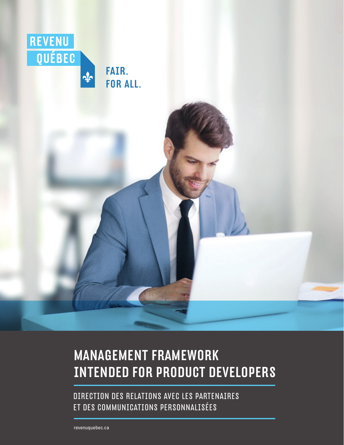

### MANAGEMENT FRAMEWORK INTENDED FOR PRODUCT DEVELOPERS

DIRECTION DES RELATIONS AVEC LES PARTENAIRES ET DES COMMUNICATIONS PERSONNALISÉES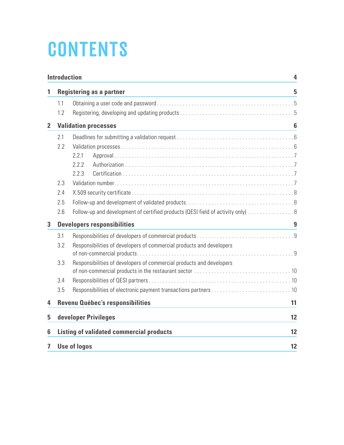# **CONTENTS**

|                | <b>Introduction</b><br>4           |                                                                                 |                 |  |  |
|----------------|------------------------------------|---------------------------------------------------------------------------------|-----------------|--|--|
| 1              | <b>Registering as a partner</b>    |                                                                                 |                 |  |  |
|                | 1.1                                |                                                                                 |                 |  |  |
|                | 1.2                                |                                                                                 |                 |  |  |
| $\overline{2}$ |                                    | <b>Validation processes</b>                                                     | $6\phantom{1}6$ |  |  |
|                | 2.1                                |                                                                                 |                 |  |  |
|                | 2.2                                |                                                                                 |                 |  |  |
|                |                                    | 2.2.1                                                                           |                 |  |  |
|                |                                    | 2.2.2                                                                           |                 |  |  |
|                |                                    | 2.2.3                                                                           |                 |  |  |
|                | 2.3                                |                                                                                 |                 |  |  |
|                | 2.4                                |                                                                                 |                 |  |  |
|                | 2.5                                |                                                                                 |                 |  |  |
|                | 2.6                                | Follow-up and development of certified products (QESI field of activity only) 8 |                 |  |  |
| 3              | <b>Developers responsibilities</b> |                                                                                 |                 |  |  |
|                | 3.1                                |                                                                                 |                 |  |  |
|                | 3.2                                | Responsibilities of developers of commercial products and developers            |                 |  |  |
|                |                                    |                                                                                 |                 |  |  |
|                | 3.3                                | Responsibilities of developers of commercial products and developers            |                 |  |  |
|                | 3.4                                |                                                                                 |                 |  |  |
|                | 3.5                                |                                                                                 |                 |  |  |
| 4              |                                    | Revenu Québec's responsibilities                                                | 11              |  |  |
| 5              |                                    | developer Privileges                                                            | 12              |  |  |
| 6              |                                    | <b>Listing of validated commercial products</b>                                 | 12              |  |  |
| 7              |                                    | <b>Use of logos</b>                                                             | 12              |  |  |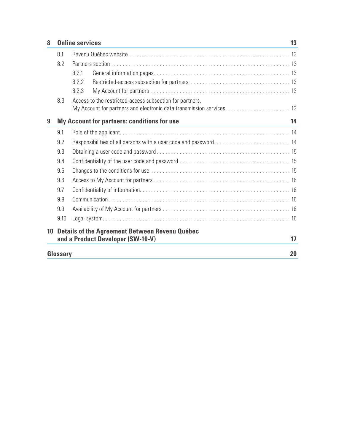| 8  | <b>Online services</b>                                |                                                                      | 13 |  |  |
|----|-------------------------------------------------------|----------------------------------------------------------------------|----|--|--|
|    | 8.1                                                   |                                                                      |    |  |  |
|    | 8.2                                                   |                                                                      |    |  |  |
|    |                                                       | 8.2.1                                                                |    |  |  |
|    |                                                       | 8.2.2                                                                |    |  |  |
|    |                                                       | 8.2.3                                                                |    |  |  |
|    | 8.3                                                   | Access to the restricted-access subsection for partners,             |    |  |  |
|    |                                                       | My Account for partners and electronic data transmission services 13 |    |  |  |
| 9  |                                                       | <b>My Account for partners: conditions for use</b>                   | 14 |  |  |
|    | 9.1                                                   |                                                                      |    |  |  |
|    | 9.2                                                   | Responsibilities of all persons with a user code and password 14     |    |  |  |
|    | 9.3                                                   |                                                                      |    |  |  |
|    | 9.4                                                   |                                                                      |    |  |  |
|    | 9.5                                                   |                                                                      |    |  |  |
|    | 9.6                                                   |                                                                      |    |  |  |
|    | 9.7                                                   |                                                                      |    |  |  |
|    | 9.8                                                   |                                                                      |    |  |  |
|    | 9.9                                                   |                                                                      |    |  |  |
|    | 9.10                                                  |                                                                      |    |  |  |
| 10 | <b>Details of the Agreement Between Revenu Québec</b> |                                                                      |    |  |  |
|    |                                                       | and a Product Developer (SW-10-V)                                    | 17 |  |  |
|    | Glossary                                              |                                                                      | 20 |  |  |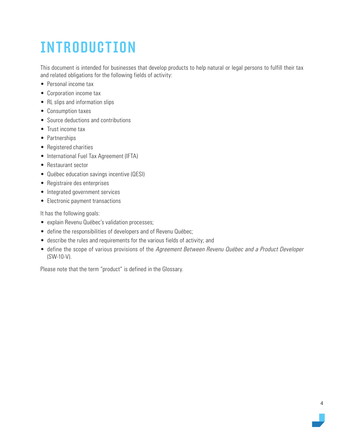# <span id="page-3-0"></span>INTRODUCTION

This document is intended for businesses that develop products to help natural or legal persons to fulfill their tax and related obligations for the following fields of activity:

- Personal income tax
- Corporation income tax
- RL slips and information slips
- Consumption taxes
- Source deductions and contributions
- Trust income tax
- Partnerships
- Registered charities
- International Fuel Tax Agreement (IFTA)
- Restaurant sector
- Québec education savings incentive (QESI)
- Registraire des enterprises
- Integrated government services
- Electronic payment transactions

It has the following goals:

- explain Revenu Québec's validation processes;
- define the responsibilities of developers and of Revenu Québec;
- describe the rules and requirements for the various fields of activity; and
- define the scope of various provisions of the Agreement Between Revenu Québec and a Product Developer (SW-10-V).

Please note that the term "product" is defined in the Glossary.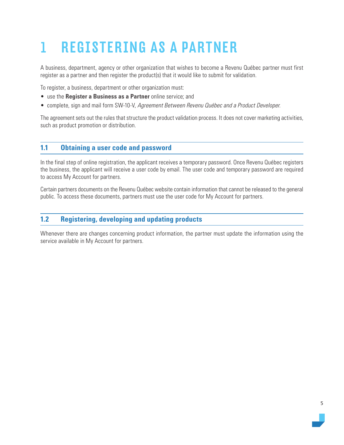# <span id="page-4-0"></span>1 REGISTERING AS A PARTNER

A business, department, agency or other organization that wishes to become a Revenu Québec partner must first register as a partner and then register the product(s) that it would like to submit for validation.

To register, a business, department or other organization must:

- use the **Register a Business as a Partner** online service; and
- complete, sign and mail form SW-10-V, Agreement Between Revenu Québec and a Product Developer.

The agreement sets out the rules that structure the product validation process. It does not cover marketing activities, such as product promotion or distribution.

### **1.1 Obtaining a user code and password**

In the final step of online registration, the applicant receives a temporary password. Once Revenu Québec registers the business, the applicant will receive a user code by email. The user code and temporary password are required to access My Account for partners.

Certain partners documents on the Revenu Québec website contain information that cannot be released to the general public. To access these documents, partners must use the user code for My Account for partners.

### **1.2 Registering, developing and updating products**

Whenever there are changes concerning product information, the partner must update the information using the service available in My Account for partners.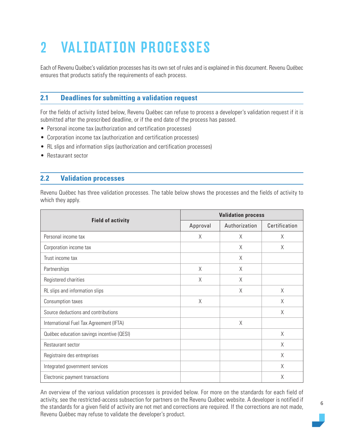# <span id="page-5-0"></span>2 VALIDATION PROCESSES

Each of Revenu Québec's validation processes has its own set of rules and is explained in this document. Revenu Québec ensures that products satisfy the requirements of each process.

### **2.1 Deadlines for submitting a validation request**

For the fields of activity listed below, Revenu Québec can refuse to process a developer's validation request if it is submitted after the prescribed deadline, or if the end date of the process has passed.

- Personal income tax (authorization and certification processes)
- Corporation income tax (authorization and certification processes)
- RL slips and information slips (authorization and certification processes)
- Restaurant sector

### **2.2 Validation processes**

Revenu Québec has three validation processes. The table below shows the processes and the fields of activity to which they apply.

|                                           | <b>Validation process</b> |               |               |  |
|-------------------------------------------|---------------------------|---------------|---------------|--|
| <b>Field of activity</b>                  | Approval                  | Authorization | Certification |  |
| Personal income tax                       | X                         | X             | X             |  |
| Corporation income tax                    |                           | X             | X             |  |
| Trust income tax                          |                           | Χ             |               |  |
| Partnerships                              | X                         | Χ             |               |  |
| Registered charities                      | $\chi$                    | X             |               |  |
| RL slips and information slips            |                           | X             | $\chi$        |  |
| Consumption taxes                         | X                         |               | X             |  |
| Source deductions and contributions       |                           |               | X             |  |
| International Fuel Tax Agreement (IFTA)   |                           | $\chi$        |               |  |
| Québec education savings incentive (QESI) |                           |               | X             |  |
| Restaurant sector                         |                           |               | X             |  |
| Registraire des entreprises               |                           |               | X             |  |
| Integrated government services            |                           |               | X             |  |
| Electronic payment transactions           |                           |               | X             |  |

An overview of the various validation processes is provided below. For more on the standards for each field of activity, see the restricted-access subsection for partners on the Revenu Québec website. A developer is notified if the standards for a given field of activity are not met and corrections are required. If the corrections are not made, Revenu Québec may refuse to validate the developer's product.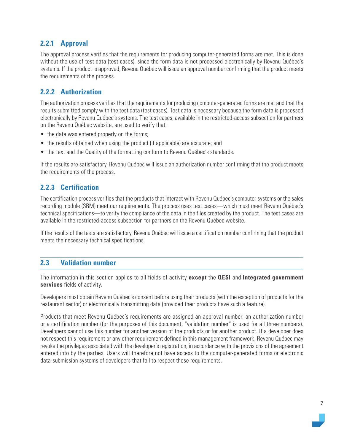### <span id="page-6-0"></span>**2.2.1 Approval**

The approval process verifies that the requirements for producing computer-generated forms are met. This is done without the use of test data (test cases), since the form data is not processed electronically by Revenu Québec's systems. If the product is approved, Revenu Québec will issue an approval number confirming that the product meets the requirements of the process.

### **2.2.2 Authorization**

The authorization process verifies that the requirements for producing computer-generated forms are met and that the results submitted comply with the test data (test cases). Test data is necessary because the form data is processed electronically by Revenu Québec's systems. The test cases, available in the restricted-access subsection for partners on the Revenu Québec website, are used to verify that:

- the data was entered properly on the forms;
- the results obtained when using the product (if applicable) are accurate; and
- the text and the Quality of the formatting conform to Revenu Québec's standards.

If the results are satisfactory, Revenu Québec will issue an authorization number confirming that the product meets the requirements of the process.

### **2.2.3 Certification**

The certification process verifies that the products that interact with Revenu Québec's computer systems or the sales recording module (SRM) meet our requirements. The process uses test cases—which must meet Revenu Québec's technical specifications—to verify the compliance of the data in the files created by the product. The test cases are available in the restricted-access subsection for partners on the Revenu Québec website.

If the results of the tests are satisfactory, Revenu Québec will issue a certification number confirming that the product meets the necessary technical specifications.

### **2.3 Validation number**

The information in this section applies to all fields of activity **except** the **QESI** and **Integrated government services** fields of activity.

Developers must obtain Revenu Québec's consent before using their products (with the exception of products for the restaurant sector) or electronically transmitting data (provided their products have such a feature).

Products that meet Revenu Québec's requirements are assigned an approval number, an authorization number or a certification number (for the purposes of this document, "validation number" is used for all three numbers). Developers cannot use this number for another version of the products or for another product. If a developer does not respect this requirement or any other requirement defined in this management framework, Revenu Québec may revoke the privileges associated with the developer's registration, in accordance with the provisions of the agreement entered into by the parties. Users will therefore not have access to the computer-generated forms or electronic data-submission systems of developers that fail to respect these requirements.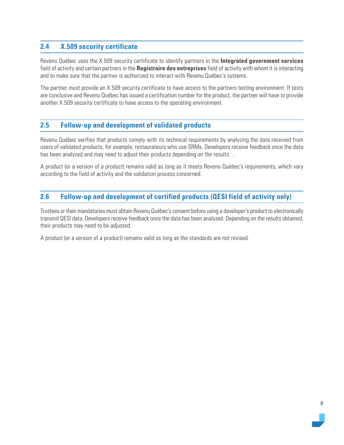### <span id="page-7-0"></span>**2.4 X.509 security certificate**

Revenu Québec uses the X.509 security certificate to identify partners in the **Integrated government services** field of activity and certain partners in the **Registraire des entreprises** field of activity with whom it is interacting and to make sure that the partner is authorized to interact with Revenu Québec's systems.

The partner must provide an X.509 security certificate to have access to the partners testing environment. If tests are conclusive and Revenu Québec has issued a certification number for the product, the partner will have to provide another X.509 security certificate to have access to the operating environment.

### **2.5 Follow-up and development of validated products**

Revenu Québec verifies that products comply with its technical requirements by analyzing the data received from users of validated products, for example, restaurateurs who use SRMs. Developers receive feedback once the data has been analyzed and may need to adjust their products depending on the results...

A product (or a version of a product) remains valid as long as it meets Revenu Québec's requirements, which vary according to the field of activity and the validation process concerned.

### **2.6 Follow-up and development of certified products (QESI field of activity only)**

Trustees or their mandataries must obtain Revenu Québec's consent before using a developer's product to electronically transmit QESI data. Developers receive feedback once the data has been analyzed. Depending on the results obtained, their products may need to be adjusted.

A product (or a version of a product) remains valid as long as the standards are not revised.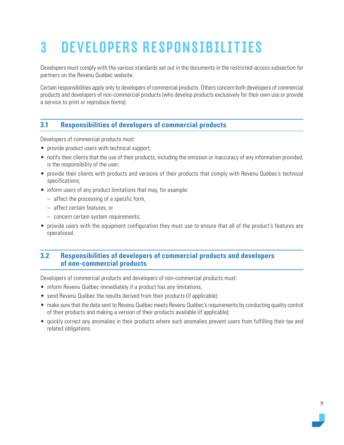# <span id="page-8-0"></span>3 DEVELOPERS RESPONSIBILITIES

Developers must comply with the various standards set out in the documents in the restricted-access subsection for partners on the Revenu Québec website.

Certain responsibilities apply only to developers of commercial products. Others concern both developers of commercial products and developers of non-commercial products (who develop products exclusively for their own use or provide a service to print or reproduce forms).

### **3.1 Responsibilities of developers of commercial products**

Developers of commercial products must:

- provide product users with technical support;
- notify their clients that the use of their products, including the omission or inaccuracy of any information provided, is the responsibility of the user;
- provide their clients with products and versions of their products that comply with Revenu Québec's technical specifications;
- inform users of any product limitations that may, for example:
	- affect the processing of a specific form,
	- affect certain features, or
	- concern certain system requirements;
- provide users with the equipment configuration they must use to ensure that all of the product's features are operational.

### **3.2 Responsibilities of developers of commercial products and developers of non-commercial products**

Developers of commercial products and developers of non-commercial products must:

- inform Revenu Québec immediately if a product has any limitations;
- send Revenu Québec the results derived from their products (if applicable);
- make sure that the data sent to Revenu Québec meets Revenu Québec's requirements by conducting quality control of their products and making a version of their products available (if applicable);
- quickly correct any anomalies in their products where such anomalies prevent users from fulfilling their tax and related obligations.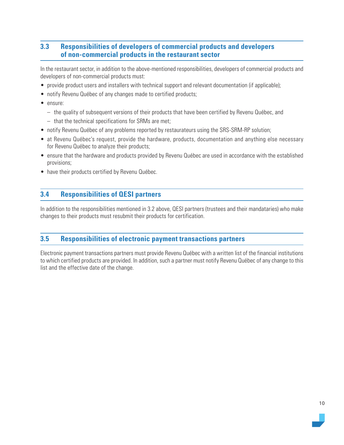### <span id="page-9-0"></span>**3.3 Responsibilities of developers of commercial products and developers of non-commercial products in the restaurant sector**

In the restaurant sector, in addition to the above-mentioned responsibilities, developers of commercial products and developers of non-commercial products must:

- provide product users and installers with technical support and relevant documentation (if applicable);
- notify Revenu Québec of any changes made to certified products;
- ensure:
	- the quality of subsequent versions of their products that have been certified by Revenu Québec, and
	- that the technical specifications for SRMs are met;
- notify Revenu Québec of any problems reported by restaurateurs using the SRS-SRM-RP solution;
- at Revenu Québec's request, provide the hardware, products, documentation and anything else necessary for Revenu Québec to analyze their products;
- ensure that the hardware and products provided by Revenu Québec are used in accordance with the established provisions;
- have their products certified by Revenu Québec.

### **3.4 Responsibilities of QESI partners**

In addition to the responsibilities mentioned in 3.2 above, QESI partners (trustees and their mandataries) who make changes to their products must resubmit their products for certification.

### **3.5 Responsibilities of electronic payment transactions partners**

Electronic payment transactions partners must provide Revenu Québec with a written list of the financial institutions to which certified products are provided. In addition, such a partner must notify Revenu Québec of any change to this list and the effective date of the change.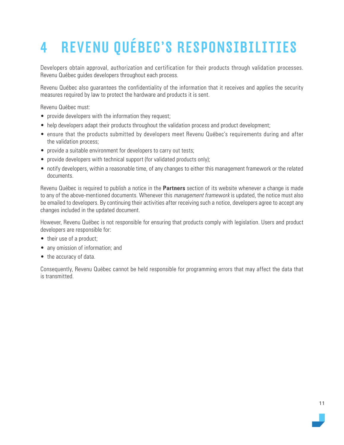# <span id="page-10-0"></span>4 REVENU QUÉBEC'S RESPONSIBILITIES

Developers obtain approval, authorization and certification for their products through validation processes. Revenu Québec guides developers throughout each process.

Revenu Québec also guarantees the confidentiality of the information that it receives and applies the security measures required by law to protect the hardware and products it is sent.

Revenu Québec must:

- provide developers with the information they request;
- help developers adapt their products throughout the validation process and product development;
- ensure that the products submitted by developers meet Revenu Québec's requirements during and after the validation process;
- provide a suitable environment for developers to carry out tests;
- provide developers with technical support (for validated products only);
- notify developers, within a reasonable time, of any changes to either this management framework or the related documents.

Revenu Québec is required to publish a notice in the **Partners** section of its website whenever a change is made to any of the above-mentioned documents. Whenever this *management framework* is updated, the notice must also be emailed to developers. By continuing their activities after receiving such a notice, developers agree to accept any changes included in the updated document.

However, Revenu Québec is not responsible for ensuring that products comply with legislation. Users and product developers are responsible for:

- their use of a product;
- any omission of information; and
- the accuracy of data.

Consequently, Revenu Québec cannot be held responsible for programming errors that may affect the data that is transmitted.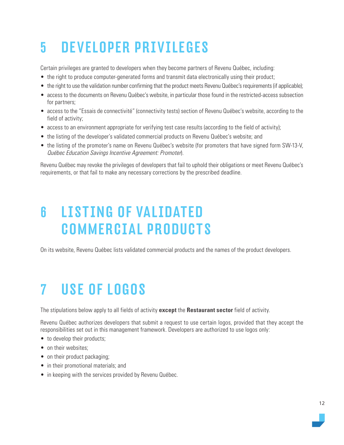# <span id="page-11-0"></span>5 DEVELOPER PRIVILEGES

Certain privileges are granted to developers when they become partners of Revenu Québec, including:

- the right to produce computer-generated forms and transmit data electronically using their product;
- the right to use the validation number confirming that the product meets Revenu Québec's requirements (if applicable);
- access to the documents on Revenu Québec's website, in particular those found in the restricted-access subsection for partners;
- access to the "Essais de connectivité" (connectivity tests) section of Revenu Québec's website, according to the field of activity;
- access to an environment appropriate for verifying test case results (according to the field of activity);
- the listing of the developer's validated commercial products on Revenu Québec's website; and
- the listing of the promoter's name on Revenu Québec's website (for promoters that have signed form SW-13-V, Québec Education Savings Incentive Agreement: Promoter).

Revenu Québec may revoke the privileges of developers that fail to uphold their obligations or meet Revenu Québec's requirements, or that fail to make any necessary corrections by the prescribed deadline.

### 6 LISTING OF VALIDATED COMMERCIAL PRODUCTS

On its website, Revenu Québec lists validated commercial products and the names of the product developers.

### 7 USE OF LOGOS

The stipulations below apply to all fields of activity **except** the **Restaurant sector** field of activity.

Revenu Québec authorizes developers that submit a request to use certain logos, provided that they accept the responsibilities set out in this management framework. Developers are authorized to use logos only:

- to develop their products;
- on their websites:
- on their product packaging;
- in their promotional materials; and
- in keeping with the services provided by Revenu Québec.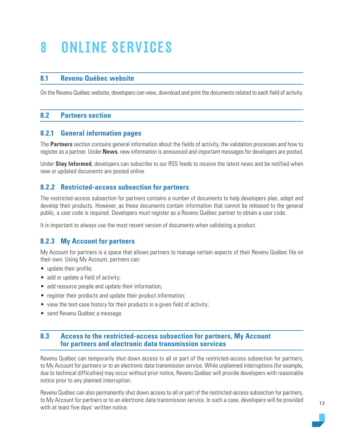## <span id="page-12-0"></span>8 ONLINE SERVICES

### **8.1 Revenu Québec website**

On the Revenu Québec website, developers can view, download and print the documents related to each field of activity.

### **8.2 Partners section**

### **8.2.1 General information pages**

The **Partners** section contains general information about the fields of activity, the validation processes and how to register as a partner. Under **News**, new information is announced and important messages for developers are posted.

Under **Stay Informed**, developers can subscribe to our RSS feeds to receive the latest news and be notified when new or updated documents are posted online.

### **8.2.2 Restricted-access subsection for partners**

The restricted-access subsection for partners contains a number of documents to help developers plan, adapt and develop their products. However, as these documents contain information that cannot be released to the general public, a user code is required. Developers must register as a Revenu Québec partner to obtain a user code.

It is important to always use the most recent version of documents when validating a product.

### **8.2.3 My Account for partners**

My Account for partners is a space that allows partners to manage certain aspects of their Revenu Québec file on their own. Using My Account, partners can:

- update their profile;
- add or update a field of activity;
- add resource people and update their information;
- register their products and update their product information;
- view the test-case history for their products in a given field of activity;
- send Revenu Québec a message.

### **8.3 Access to the restricted-access subsection for partners, My Account for partners and electronic data transmission services**

Revenu Québec can temporarily shut down access to all or part of the restricted-access subsection for partners, to My Account for partners or to an electronic data transmission service. While unplanned interruptions (for example, due to technical difficulties) may occur without prior notice, Revenu Québec will provide developers with reasonable notice prior to any planned interruption.

Revenu Québec can also permanently shut down access to all or part of the restricted-access subsection for partners, to My Account for partners or to an electronic data transmission service. In such a case, developers will be provided with at least five days' written notice.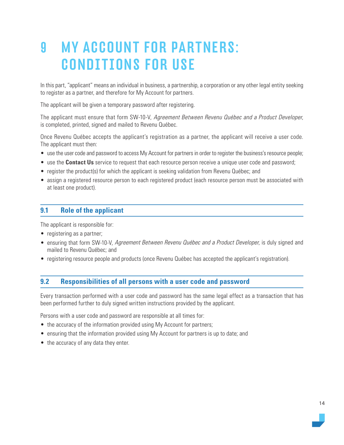### <span id="page-13-0"></span>9 MY ACCOUNT FOR PARTNERS: CONDITIONS FOR USE

In this part, "applicant" means an individual in business, a partnership, a corporation or any other legal entity seeking to register as a partner, and therefore for My Account for partners.

The applicant will be given a temporary password after registering.

The applicant must ensure that form SW-10-V, Agreement Between Revenu Québec and a Product Developer, is completed, printed, signed and mailed to Revenu Québec.

Once Revenu Québec accepts the applicant's registration as a partner, the applicant will receive a user code. The applicant must then:

- use the user code and password to access My Account for partners in order to register the business's resource people;
- use the **Contact Us** service to request that each resource person receive a unique user code and password;
- register the product(s) for which the applicant is seeking validation from Revenu Québec; and
- assign a registered resource person to each registered product (each resource person must be associated with at least one product).

### **9.1 Role of the applicant**

The applicant is responsible for:

- registering as a partner;
- ensuring that form SW-10-V, Agreement Between Revenu Québec and a Product Developer, is duly signed and mailed to Revenu Québec; and
- registering resource people and products (once Revenu Québec has accepted the applicant's registration).

### **9.2 Responsibilities of all persons with a user code and password**

Every transaction performed with a user code and password has the same legal effect as a transaction that has been performed further to duly signed written instructions provided by the applicant.

Persons with a user code and password are responsible at all times for:

- the accuracy of the information provided using My Account for partners;
- ensuring that the information provided using My Account for partners is up to date; and
- the accuracy of any data they enter.

14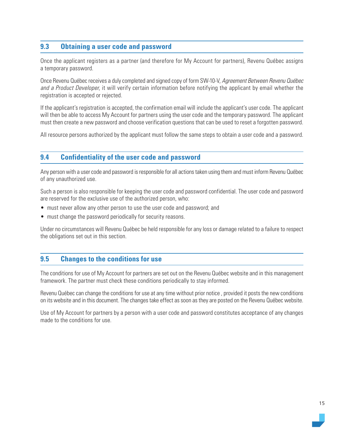### <span id="page-14-0"></span>**9.3 Obtaining a user code and password**

Once the applicant registers as a partner (and therefore for My Account for partners), Revenu Québec assigns a temporary password.

Once Revenu Québec receives a duly completed and signed copy of form SW-10-V, Agreement Between Revenu Québec and a Product Developer, it will verify certain information before notifying the applicant by email whether the registration is accepted or rejected.

If the applicant's registration is accepted, the confirmation email will include the applicant's user code. The applicant will then be able to access My Account for partners using the user code and the temporary password. The applicant must then create a new password and choose verification questions that can be used to reset a forgotten password.

All resource persons authorized by the applicant must follow the same steps to obtain a user code and a password.

### **9.4 Confidentiality of the user code and password**

Any person with a user code and password is responsible for all actions taken using them and must inform Revenu Québec of any unauthorized use.

Such a person is also responsible for keeping the user code and password confidential. The user code and password are reserved for the exclusive use of the authorized person, who:

- must never allow any other person to use the user code and password; and
- must change the password periodically for security reasons.

Under no circumstances will Revenu Québec be held responsible for any loss or damage related to a failure to respect the obligations set out in this section.

### **9.5 Changes to the conditions for use**

The conditions for use of My Account for partners are set out on the Revenu Québec website and in this management framework. The partner must check these conditions periodically to stay informed.

Revenu Québec can change the conditions for use at any time without prior notice , provided it posts the new conditions on its website and in this document. The changes take effect as soon as they are posted on the Revenu Québec website.

Use of My Account for partners by a person with a user code and password constitutes acceptance of any changes made to the conditions for use.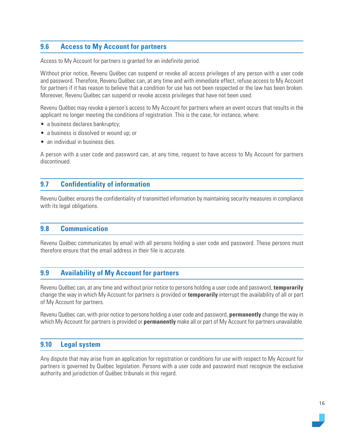### <span id="page-15-0"></span>**9.6 Access to My Account for partners**

Access to My Account for partners is granted for an indefinite period.

Without prior notice, Revenu Québec can suspend or revoke all access privileges of any person with a user code and password. Therefore, Revenu Québec can, at any time and with immediate effect, refuse access to My Account for partners if it has reason to believe that a condition for use has not been respected or the law has been broken. Moreover, Revenu Québec can suspend or revoke access privileges that have not been used.

Revenu Québec may revoke a person's access to My Account for partners where an event occurs that results in the applicant no longer meeting the conditions of registration. This is the case, for instance, where:

- a business declares bankruptcy;
- a business is dissolved or wound up; or
- an individual in business dies.

A person with a user code and password can, at any time, request to have access to My Account for partners discontinued.

### **9.7 Confidentiality of information**

Revenu Québec ensures the confidentiality of transmitted information by maintaining security measures in compliance with its legal obligations.

### **9.8 Communication**

Revenu Québec communicates by email with all persons holding a user code and password. These persons must therefore ensure that the email address in their file is accurate.

### **9.9 Availability of My Account for partners**

Revenu Québec can, at any time and without prior notice to persons holding a user code and password, **temporarily**  change the way in which My Account for partners is provided or **temporarily** interrupt the availability of all or part of My Account for partners.

Revenu Québec can, with prior notice to persons holding a user code and password, **permanently** change the way in which My Account for partners is provided or **permanently** make all or part of My Account for partners unavailable.

### **9.10 Legal system**

Any dispute that may arise from an application for registration or conditions for use with respect to My Account for partners is governed by Québec legislation. Persons with a user code and password must recognize the exclusive authority and jurisdiction of Québec tribunals in this regard.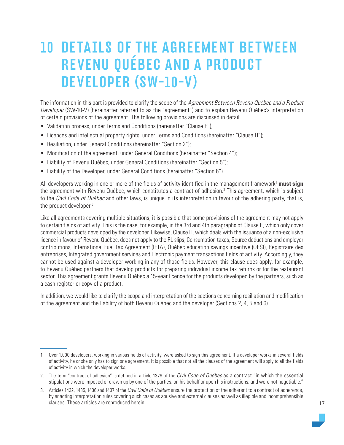### <span id="page-16-0"></span>10 DETAILS OF THE AGREEMENT BETWEEN REVENU QUÉBEC AND A PRODUCT DEVELOPER (SW-10-V)

The information in this part is provided to clarify the scope of the Agreement Between Revenu Québec and a Product Developer (SW-10-V) (hereinafter referred to as the "agreement") and to explain Revenu Québec's interpretation of certain provisions of the agreement. The following provisions are discussed in detail:

- Validation process, under Terms and Conditions (hereinafter "Clause E");
- Licences and intellectual property rights, under Terms and Conditions (hereinafter "Clause H");
- Resiliation, under General Conditions (hereinafter "Section 2");
- Modification of the agreement, under General Conditions (hereinafter "Section 4");
- Liability of Revenu Québec, under General Conditions (hereinafter "Section 5");
- Liability of the Developer, under General Conditions (hereinafter "Section 6").

All developers working in one or more of the fields of activity identified in the management framework<sup>1</sup> must sign the agreement with Revenu Québec, which constitutes a contract of adhesion.<sup>2</sup> This agreement, which is subject to the *Civil Code of Québec* and other laws, is unique in its interpretation in favour of the adhering party, that is, the product developer.3

Like all agreements covering multiple situations, it is possible that some provisions of the agreement may not apply to certain fields of activity. This is the case, for example, in the 3rd and 4th paragraphs of Clause E, which only cover commercial products developed by the developer. Likewise, Clause H, which deals with the issuance of a non-exclusive licence in favour of Revenu Québec, does not apply to the RL slips, Consumption taxes, Source deductions and employer contributions, [International Fuel Tax Agreement \(IFTA\)](https://www.revenuquebec.ca/en/partners/fields-of-activity/international-fuel-tax-agreement-ifta/), [Québec education savings incentive \(QESI\)](https://www.revenuquebec.ca/en/partners/fields-of-activity/quebec-education-savings-incentive/), [Registraire des](https://www.revenuquebec.ca/en/partners/fields-of-activity/registraire-des-entreprises/) [entreprises,](https://www.revenuquebec.ca/en/partners/fields-of-activity/registraire-des-entreprises/) [Integrated government services](https://www.revenuquebec.ca/en/partners/fields-of-activity/integrated-government-services/) and Electronic payment transactions fields of activity. Accordingly, they cannot be used against a developer working in any of those fields. However, this clause does apply, for example, to Revenu Québec partners that develop products for preparing individual income tax returns or for the restaurant sector. This agreement grants Revenu Québec a 15-year licence for the products developed by the partners, such as a cash register or copy of a product.

In addition, we would like to clarify the scope and interpretation of the sections concerning resiliation and modification of the agreement and the liability of both Revenu Québec and the developer (Sections 2, 4, 5 and 6).

<sup>1.</sup> Over 1,000 developers, working in various fields of activity, were asked to sign this agreement. If a developer works in several fields of activity, he or she only has to sign one agreement. It is possible that not all the clauses of the agreement will apply to all the fields of activity in which the developer works.

<sup>2.</sup> The term "contract of adhesion" is defined in article 1379 of the Civil Code of Québec as a contract "in which the essential stipulations were imposed or drawn up by one of the parties, on his behalf or upon his instructions, and were not negotiable."

<sup>3.</sup> Articles 1432, 1435, 1436 and 1437 of the *Civil Code of Québec* ensure the protection of the adherent to a contract of adherence, by enacting interpretation rules covering such cases as abusive and external clauses as well as illegible and incomprehensible clauses. These articles are reproduced herein.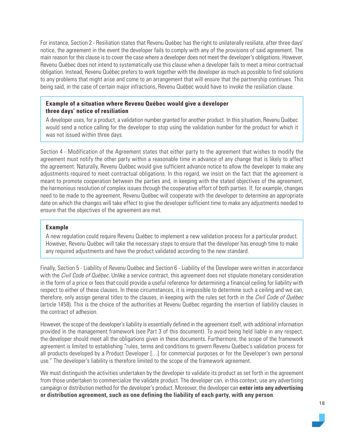For instance, Section 2 - Resiliation states that Revenu Québec has the right to unilaterally resiliate, after three days' notice, the agreement in the event the developer fails to comply with any of the provisions of said agreement. The main reason for this clause is to cover the case where a developer does not meet the developer's obligations. However, Revenu Québec does not intend to systematically use this clause when a developer fails to meet a minor contractual obligation. Instead, Revenu Québec prefers to work together with the developer as much as possible to find solutions to any problems that might arise and come to an arrangement that will ensure that the partnership continues. This being said, in the case of certain major infractions, Revenu Québec would have to invoke the resiliation clause.

#### **Example of a situation where Revenu Québec would give a developer three days' notice of resiliation**

A developer uses, for a product, a validation number granted for another product. In this situation, Revenu Québec would send a notice calling for the developer to stop using the validation number for the product for which it was not issued within three days.

Section 4 - Modification of the Agreement states that either party to the agreement that wishes to modify the agreement must notify the other party within a reasonable time in advance of any change that is likely to affect the agreement. Naturally, Revenu Québec would give sufficient advance notice to allow the developer to make any adjustments required to meet contractual obligations. In this regard, we insist on the fact that the agreement is meant to promote cooperation between the parties and, in keeping with the stated objectives of the agreement, the harmonious resolution of complex issues through the cooperative effort of both parties. If, for example, changes need to be made to the agreement, Revenu Québec will cooperate with the developer to determine an appropriate date on which the changes will take effect to give the developer sufficient time to make any adjustments needed to ensure that the objectives of the agreement are met.

### **Example**

A new regulation could require Revenu Québec to implement a new validation process for a particular product. However, Revenu Québec will take the necessary steps to ensure that the developer has enough time to make any required adjustments and have the product validated according to the new standard.

Finally, Section 5 - Liability of Revenu Québec and Section 6 - Liability of the Developer were written in accordance with the Civil Code of Québec. Unlike a service contract, this agreement does not stipulate monetary consideration in the form of a price or fees that could provide a useful reference for determining a financial ceiling for liability with respect to either of these clauses. In these circumstances, it is impossible to determine such a ceiling and we can, therefore, only assign general titles to the clauses, in keeping with the rules set forth in the Civil Code of Québec (article 1458). This is the choice of the authorities at Revenu Québec regarding the insertion of liability clauses in the contract of adhesion.

However, the scope of the developer's liability is essentially defined in the agreement itself, with additional information provided in the management framework (see Part 3 of this document). To avoid being held liable in any respect, the developer should meet all the obligations given in these documents. Furthermore, the scope of the framework agreement is limited to establishing "rules, terms and conditions to govern Revenu Québec's validation process for all products developed by a Product Developer […] for commercial purposes or for the Developer's own personal use." The developer's liability is therefore limited to the scope of the framework agreement.

We must distinguish the activities undertaken by the developer to validate its product as set forth in the agreement from those undertaken to commercialize the validate product. The developer can, in this context, use any advertising campaign or distribution method for the developer's product. Moreover, the developer can **enter into any advertising or distribution agreement, such as one defining the liability of each party, with any person**.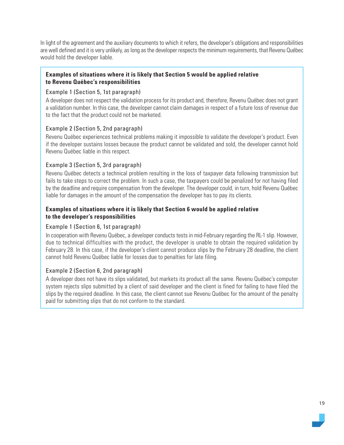In light of the agreement and the auxiliary documents to which it refers, the developer's obligations and responsibilities are well defined and it is very unlikely, as long as the developer respects the minimum requirements, that Revenu Québec would hold the developer liable.

### **Examples of situations where it is likely that Section 5 would be applied relative to Revenu Québec's responsibilities**

### Example 1 (Section 5, 1st paragraph)

A developer does not respect the validation process for its product and, therefore, Revenu Québec does not grant a validation number. In this case, the developer cannot claim damages in respect of a future loss of revenue due to the fact that the product could not be marketed.

#### Example 2 (Section 5, 2nd paragraph)

Revenu Québec experiences technical problems making it impossible to validate the developer's product. Even if the developer sustains losses because the product cannot be validated and sold, the developer cannot hold Revenu Québec liable in this respect.

#### Example 3 (Section 5, 3rd paragraph)

Revenu Québec detects a technical problem resulting in the loss of taxpayer data following transmission but fails to take steps to correct the problem. In such a case, the taxpayers could be penalized for not having filed by the deadline and require compensation from the developer. The developer could, in turn, hold Revenu Québec liable for damages in the amount of the compensation the developer has to pay its clients.

### **Examples of situations where it is likely that Section 6 would be applied relative to the developer's responsibilities**

#### Example 1 (Section 6, 1st paragraph)

In cooperation with Revenu Québec, a developer conducts tests in mid-February regarding the RL-1 slip. However, due to technical difficulties with the product, the developer is unable to obtain the required validation by February 28. In this case, if the developer's client cannot produce slips by the February 28 deadline, the client cannot hold Revenu Québec liable for losses due to penalties for late filing.

### Example 2 (Section 6, 2nd paragraph)

A developer does not have its slips validated, but markets its product all the same. Revenu Québec's computer system rejects slips submitted by a client of said developer and the client is fined for failing to have filed the slips by the required deadline. In this case, the client cannot sue Revenu Québec for the amount of the penalty paid for submitting slips that do not conform to the standard.